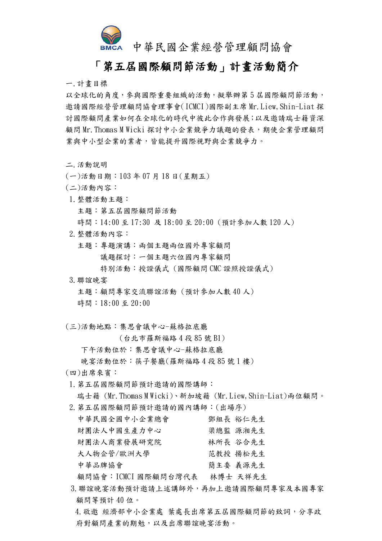

## 中華民國企業經營管理顧問協會

## 「第五屆國際顧問節活動」計畫活動簡介

一.計畫目標

以全球化的角度,參與國際重要組織的活動,擬舉辦第5屆國際顧問節活動, 邀請國際經營管理顧問協會理事會(ICMCI)國際副主席 Mr.Liew,Shin-Liat 探 討國際顧問產業如何在全球化的時代中彼此合作與發展;以及邀請瑞士籍資深 顧問 Mr. Thomas M Wicki 探討中小企業競爭力議題的發表,期使企業管理顧問 業與中小型企業的業者,皆能提升國際視野與企業競爭力。

二.活動說明

- (一)活動日期:103 年 07 月 18 日(星期五)
- (二)活動內容:
- 1.整體活動主題: 主題:第五屆國際顧問節活動 時間:14:00 至 17:30 及 18:00 至 20:00 (預計參加人數 120 人)
- 2.整體活動內容:
	- 主題:專題演講:兩個主題兩位國外專家顧問 議題探討:一個主題六位國內專家顧問 特別活動:授證儀式 (國際顧問 CMC 證照授證儀式)
- 3.聯誼晚宴

 主題:顧問專家交流聯誼活動 (預計參加人數 40 人) 時間:18:00 至 20:00

(三)活動地點:集思會議中心-蘇格拉底廳

(台北市羅斯福路 4 段 85 號 B1)

下午活動位於:集思會議中心-蘇格拉底廳

- 晚宴活動位於:筷子餐廳(羅斯福路 4 段 85 號 1 樓)
- (四)出席來賓:
- 1.第五屆國際顧問節預計邀請的國際講師:

瑞士籍 (Mr.Thomas M Wicki)、新加坡籍 (Mr.Liew,Shin-Liat)兩位顧問。

2.第五屆國際顧問節預計邀請的國內講師:(出場序)

| 中華民國全國中小企業總會 | 鄧組長 裕仁先生 |
|--------------|----------|
| 財團法人中國生產力中心  | 梁總監 源湘先生 |
| 財團法人商業發展研究院  | 林所長 谷合先生 |
| 大人物企管/歐洲大學   | 范教授 揚松先生 |
| 中華品牌協會       | 簡主委 義源先生 |
|              |          |

顧問協會:ICMCI 國際顧問台灣代表 林博士 天祥先生

3.聯誼晚宴活動預計邀請上述講師外,再加上邀請國際顧問專家及本國專家 顧問等預計 40 位。

4.敬邀 經濟部中小企業處 葉處長出席第五屆國際顧問節的致詞,分享政 府對顧問產業的期勉,以及出席聯誼晚宴活動。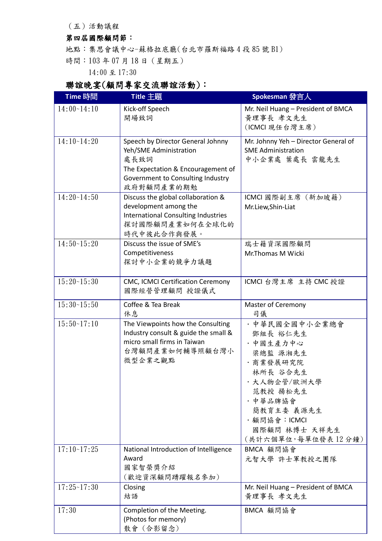(五)活動議程

## 第四屆國際顧問節:

地點:集思會議中心-蘇格拉底廳(台北市羅斯福路 4 段 85 號 B1)

時間:103 年 07 月 18 日(星期五)

14:00 至 17:30

## 聯誼晚宴(顧問專家交流聯誼活動):

| Time 時間       | Title 主題                                                                                                                                                     | Spokesman 發言人                                                                                                                                                                           |
|---------------|--------------------------------------------------------------------------------------------------------------------------------------------------------------|-----------------------------------------------------------------------------------------------------------------------------------------------------------------------------------------|
| 14:00~14:10   | Kick-off Speech<br>開場致詞                                                                                                                                      | Mr. Neil Huang - President of BMCA<br>黄理事長 孝文先生<br>(ICMCI 現任台灣主席)                                                                                                                       |
| 14:10~14:20   | Speech by Director General Johnny<br>Yeh/SME Administration<br>處長致詞<br>The Expectation & Encouragement of<br>Government to Consulting Industry<br>政府對顧問產業的期勉 | Mr. Johnny Yeh - Director General of<br><b>SME Administration</b><br>中小企業處 葉處長 雲龍先生                                                                                                     |
| $14:20-14:50$ | Discuss the global collaboration &<br>development among the<br><b>International Consulting Industries</b><br>探討國際顧問產業如何在全球化的<br>時代中彼此合作與發展。                  | ICMCI 國際副主席 (新加坡籍)<br>Mr.Liew, Shin-Liat                                                                                                                                                |
| 14:50~15:20   | Discuss the issue of SME's<br>Competitiveness<br>探討中小企業的競爭力議題                                                                                                | 瑞士籍資深國際顧問<br>Mr.Thomas M Wicki                                                                                                                                                          |
| $15:20-15:30$ | CMC, ICMCI Certification Ceremony<br>國際經營管理顧問 授證儀式                                                                                                           | ICMCI 台灣主席 主持 CMC 授證                                                                                                                                                                    |
| 15:30~15:50   | Coffee & Tea Break<br>休息                                                                                                                                     | Master of Ceremony<br>司儀                                                                                                                                                                |
| $15:50-17:10$ | The Viewpoints how the Consulting<br>Industry consult & guide the small &<br>micro small firms in Taiwan<br>台灣顧問產業如何輔導照顧台灣小<br>微型企業之觀點                       | · 中華民國全國中小企業總會<br>鄧組長 裕仁先生<br>· 中國生產力中心<br>梁總監 源湘先生<br>·商業發展研究院<br>林所長 谷合先生<br>· 大人物企管/歐洲大學<br>范教授 揚松先生<br>· 中華品牌協會<br>簡教育主委 義源先生<br>・顧問協會:ICMCI<br>國際顧問 林博士 天祥先生<br>(共計六個單位,每單位發表12分鐘) |
| 17:10~17:25   | National Introduction of Intelligence<br>Award<br>國家智榮獎介紹<br>(歡迎資深顧問踴躍報名參加)                                                                                  | BMCA 顧問協會<br>元智大學 許士軍教授之團隊                                                                                                                                                              |
| 17:25~17:30   | Closing<br>結語                                                                                                                                                | Mr. Neil Huang - President of BMCA<br>黄理事長 孝文先生                                                                                                                                         |
| 17:30         | Completion of the Meeting.<br>(Photos for memory)<br>散會(合影留念)                                                                                                | BMCA 顧問協會                                                                                                                                                                               |